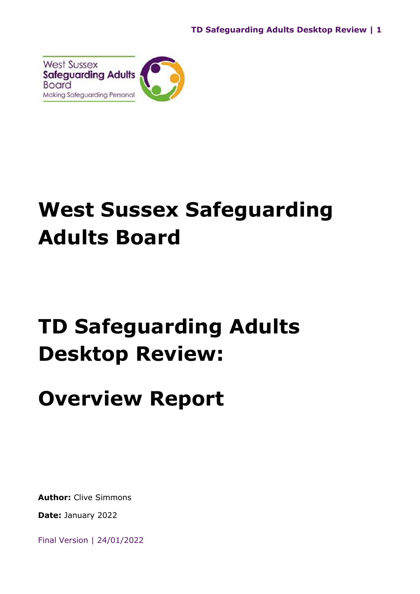

## **West Sussex Safeguarding Adults Board**

# **TD Safeguarding Adults Desktop Review:**

## **Overview Report**

**Author:** Clive Simmons

**Date:** January 2022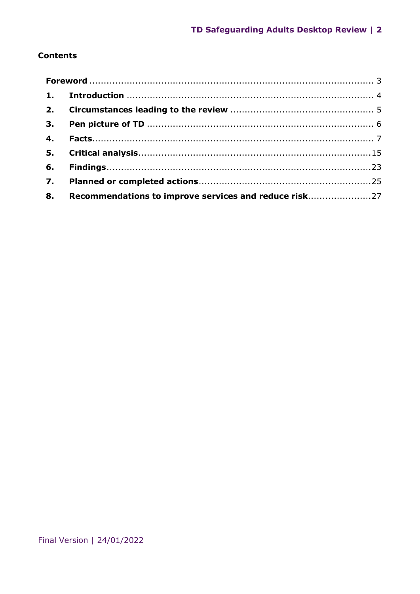## **Contents**

|  | 8. Recommendations to improve services and reduce risk27 |  |
|--|----------------------------------------------------------|--|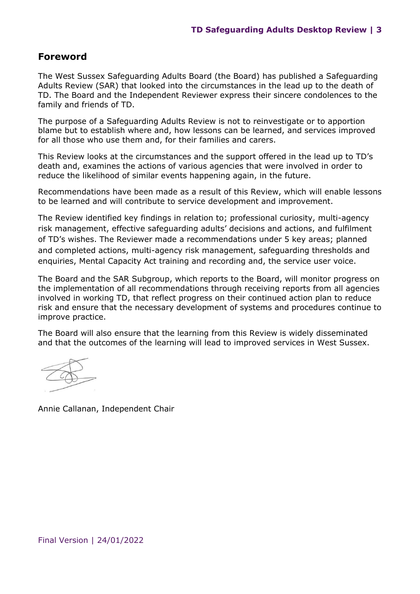## <span id="page-2-0"></span>**Foreword**

The West Sussex Safeguarding Adults Board (the Board) has published a Safeguarding Adults Review (SAR) that looked into the circumstances in the lead up to the death of TD. The Board and the Independent Reviewer express their sincere condolences to the family and friends of TD.

The purpose of a Safeguarding Adults Review is not to reinvestigate or to apportion blame but to establish where and, how lessons can be learned, and services improved for all those who use them and, for their families and carers.

This Review looks at the circumstances and the support offered in the lead up to TD's death and, examines the actions of various agencies that were involved in order to reduce the likelihood of similar events happening again, in the future.

Recommendations have been made as a result of this Review, which will enable lessons to be learned and will contribute to service development and improvement.

The Review identified key findings in relation to; professional curiosity, multi-agency risk management, effective safeguarding adults' decisions and actions, and fulfilment of TD's wishes. The Reviewer made a recommendations under 5 key areas; planned and completed actions, multi-agency risk management, safeguarding thresholds and enquiries, Mental Capacity Act training and recording and, the service user voice.

The Board and the SAR Subgroup, which reports to the Board, will monitor progress on the implementation of all recommendations through receiving reports from all agencies involved in working TD, that reflect progress on their continued action plan to reduce risk and ensure that the necessary development of systems and procedures continue to improve practice.

The Board will also ensure that the learning from this Review is widely disseminated and that the outcomes of the learning will lead to improved services in West Sussex.

Annie Callanan, Independent Chair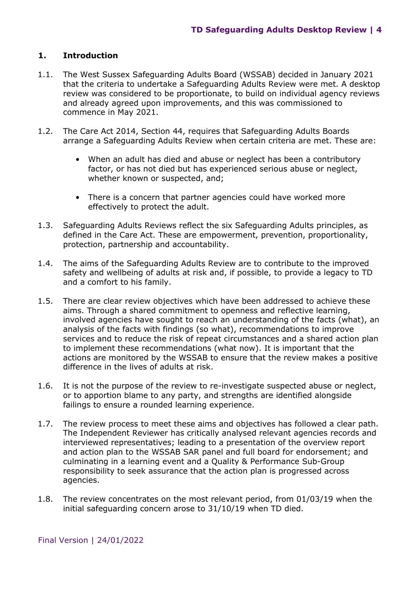## <span id="page-3-0"></span>**1. Introduction**

- 1.1. The West Sussex Safeguarding Adults Board (WSSAB) decided in January 2021 that the criteria to undertake a Safeguarding Adults Review were met. A desktop review was considered to be proportionate, to build on individual agency reviews and already agreed upon improvements, and this was commissioned to commence in May 2021.
- 1.2. The Care Act 2014, Section 44, requires that Safeguarding Adults Boards arrange a Safeguarding Adults Review when certain criteria are met. These are:
	- When an adult has died and abuse or neglect has been a contributory factor, or has not died but has experienced serious abuse or neglect, whether known or suspected, and;
	- There is a concern that partner agencies could have worked more effectively to protect the adult.
- 1.3. Safeguarding Adults Reviews reflect the six Safeguarding Adults principles, as defined in the Care Act. These are empowerment, prevention, proportionality, protection, partnership and accountability.
- 1.4. The aims of the Safeguarding Adults Review are to contribute to the improved safety and wellbeing of adults at risk and, if possible, to provide a legacy to TD and a comfort to his family.
- 1.5. There are clear review objectives which have been addressed to achieve these aims. Through a shared commitment to openness and reflective learning, involved agencies have sought to reach an understanding of the facts (what), an analysis of the facts with findings (so what), recommendations to improve services and to reduce the risk of repeat circumstances and a shared action plan to implement these recommendations (what now). It is important that the actions are monitored by the WSSAB to ensure that the review makes a positive difference in the lives of adults at risk.
- 1.6. It is not the purpose of the review to re-investigate suspected abuse or neglect, or to apportion blame to any party, and strengths are identified alongside failings to ensure a rounded learning experience.
- 1.7. The review process to meet these aims and objectives has followed a clear path. The Independent Reviewer has critically analysed relevant agencies records and interviewed representatives; leading to a presentation of the overview report and action plan to the WSSAB SAR panel and full board for endorsement; and culminating in a learning event and a Quality & Performance Sub-Group responsibility to seek assurance that the action plan is progressed across agencies.
- 1.8. The review concentrates on the most relevant period, from 01/03/19 when the initial safeguarding concern arose to 31/10/19 when TD died.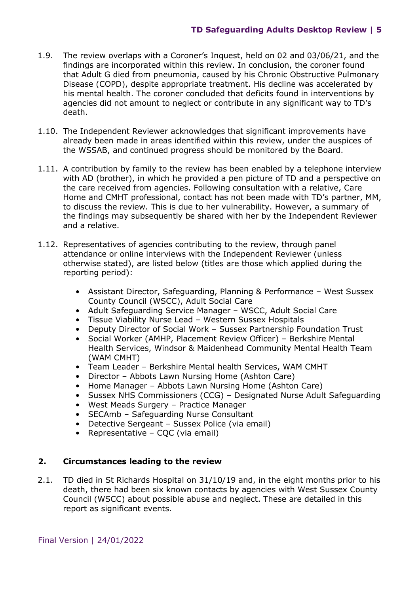- 1.9. The review overlaps with a Coroner's Inquest, held on 02 and 03/06/21, and the findings are incorporated within this review. In conclusion, the coroner found that Adult G died from pneumonia, caused by his Chronic Obstructive Pulmonary Disease (COPD), despite appropriate treatment. His decline was accelerated by his mental health. The coroner concluded that deficits found in interventions by agencies did not amount to neglect or contribute in any significant way to TD's death.
- 1.10. The Independent Reviewer acknowledges that significant improvements have already been made in areas identified within this review, under the auspices of the WSSAB, and continued progress should be monitored by the Board.
- 1.11. A contribution by family to the review has been enabled by a telephone interview with AD (brother), in which he provided a pen picture of TD and a perspective on the care received from agencies. Following consultation with a relative, Care Home and CMHT professional, contact has not been made with TD's partner, MM, to discuss the review. This is due to her vulnerability. However, a summary of the findings may subsequently be shared with her by the Independent Reviewer and a relative.
- 1.12. Representatives of agencies contributing to the review, through panel attendance or online interviews with the Independent Reviewer (unless otherwise stated), are listed below (titles are those which applied during the reporting period):
	- Assistant Director, Safeguarding, Planning & Performance West Sussex County Council (WSCC), Adult Social Care
	- Adult Safeguarding Service Manager WSCC, Adult Social Care
	- Tissue Viability Nurse Lead Western Sussex Hospitals
	- Deputy Director of Social Work Sussex Partnership Foundation Trust
	- Social Worker (AMHP, Placement Review Officer) Berkshire Mental Health Services, Windsor & Maidenhead Community Mental Health Team (WAM CMHT)
	- Team Leader Berkshire Mental health Services, WAM CMHT
	- Director Abbots Lawn Nursing Home (Ashton Care)
	- Home Manager Abbots Lawn Nursing Home (Ashton Care)
	- Sussex NHS Commissioners (CCG) Designated Nurse Adult Safeguarding
	- West Meads Surgery Practice Manager
	- SECAmb Safeguarding Nurse Consultant
	- Detective Sergeant Sussex Police (via email)
	- Representative COC (via email)

#### <span id="page-4-0"></span>**2. Circumstances leading to the review**

2.1. TD died in St Richards Hospital on 31/10/19 and, in the eight months prior to his death, there had been six known contacts by agencies with West Sussex County Council (WSCC) about possible abuse and neglect. These are detailed in this report as significant events.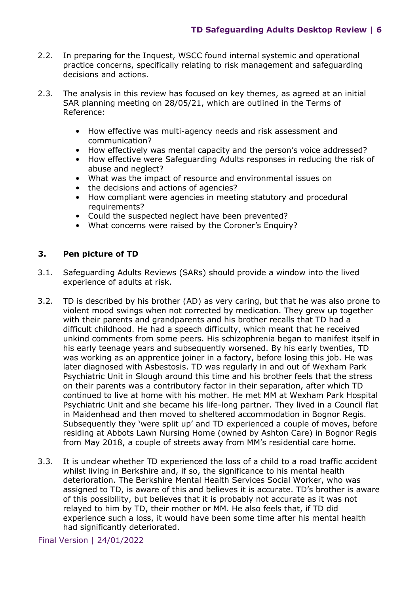- 2.2. In preparing for the Inquest, WSCC found internal systemic and operational practice concerns, specifically relating to risk management and safeguarding decisions and actions.
- 2.3. The analysis in this review has focused on key themes, as agreed at an initial SAR planning meeting on 28/05/21, which are outlined in the Terms of Reference:
	- How effective was multi-agency needs and risk assessment and communication?
	- How effectively was mental capacity and the person's voice addressed?
	- How effective were Safeguarding Adults responses in reducing the risk of abuse and neglect?
	- What was the impact of resource and environmental issues on
	- the decisions and actions of agencies?
	- How compliant were agencies in meeting statutory and procedural requirements?
	- Could the suspected neglect have been prevented?
	- What concerns were raised by the Coroner's Enquiry?

## <span id="page-5-0"></span>**3. Pen picture of TD**

- 3.1. Safeguarding Adults Reviews (SARs) should provide a window into the lived experience of adults at risk.
- 3.2. TD is described by his brother (AD) as very caring, but that he was also prone to violent mood swings when not corrected by medication. They grew up together with their parents and grandparents and his brother recalls that TD had a difficult childhood. He had a speech difficulty, which meant that he received unkind comments from some peers. His schizophrenia began to manifest itself in his early teenage years and subsequently worsened. By his early twenties, TD was working as an apprentice joiner in a factory, before losing this job. He was later diagnosed with Asbestosis. TD was regularly in and out of Wexham Park Psychiatric Unit in Slough around this time and his brother feels that the stress on their parents was a contributory factor in their separation, after which TD continued to live at home with his mother. He met MM at Wexham Park Hospital Psychiatric Unit and she became his life-long partner. They lived in a Council flat in Maidenhead and then moved to sheltered accommodation in Bognor Regis. Subsequently they 'were split up' and TD experienced a couple of moves, before residing at Abbots Lawn Nursing Home (owned by Ashton Care) in Bognor Regis from May 2018, a couple of streets away from MM's residential care home.
- 3.3. It is unclear whether TD experienced the loss of a child to a road traffic accident whilst living in Berkshire and, if so, the significance to his mental health deterioration. The Berkshire Mental Health Services Social Worker, who was assigned to TD, is aware of this and believes it is accurate. TD's brother is aware of this possibility, but believes that it is probably not accurate as it was not relayed to him by TD, their mother or MM. He also feels that, if TD did experience such a loss, it would have been some time after his mental health had significantly deteriorated.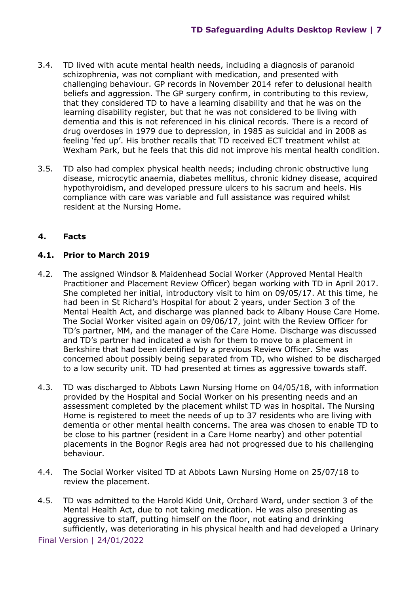- 3.4. TD lived with acute mental health needs, including a diagnosis of paranoid schizophrenia, was not compliant with medication, and presented with challenging behaviour. GP records in November 2014 refer to delusional health beliefs and aggression. The GP surgery confirm, in contributing to this review, that they considered TD to have a learning disability and that he was on the learning disability register, but that he was not considered to be living with dementia and this is not referenced in his clinical records. There is a record of drug overdoses in 1979 due to depression, in 1985 as suicidal and in 2008 as feeling 'fed up'. His brother recalls that TD received ECT treatment whilst at Wexham Park, but he feels that this did not improve his mental health condition.
- 3.5. TD also had complex physical health needs; including chronic obstructive lung disease, microcytic anaemia, diabetes mellitus, chronic kidney disease, acquired hypothyroidism, and developed pressure ulcers to his sacrum and heels. His compliance with care was variable and full assistance was required whilst resident at the Nursing Home.

## <span id="page-6-0"></span>**4. Facts**

## **4.1. Prior to March 2019**

- 4.2. The assigned Windsor & Maidenhead Social Worker (Approved Mental Health Practitioner and Placement Review Officer) began working with TD in April 2017. She completed her initial, introductory visit to him on 09/05/17. At this time, he had been in St Richard's Hospital for about 2 years, under Section 3 of the Mental Health Act, and discharge was planned back to Albany House Care Home. The Social Worker visited again on 09/06/17, joint with the Review Officer for TD's partner, MM, and the manager of the Care Home. Discharge was discussed and TD's partner had indicated a wish for them to move to a placement in Berkshire that had been identified by a previous Review Officer. She was concerned about possibly being separated from TD, who wished to be discharged to a low security unit. TD had presented at times as aggressive towards staff.
- 4.3. TD was discharged to Abbots Lawn Nursing Home on 04/05/18, with information provided by the Hospital and Social Worker on his presenting needs and an assessment completed by the placement whilst TD was in hospital. The Nursing Home is registered to meet the needs of up to 37 residents who are living with dementia or other mental health concerns. The area was chosen to enable TD to be close to his partner (resident in a Care Home nearby) and other potential placements in the Bognor Regis area had not progressed due to his challenging behaviour.
- 4.4. The Social Worker visited TD at Abbots Lawn Nursing Home on 25/07/18 to review the placement.
- 4.5. TD was admitted to the Harold Kidd Unit, Orchard Ward, under section 3 of the Mental Health Act, due to not taking medication. He was also presenting as aggressive to staff, putting himself on the floor, not eating and drinking sufficiently, was deteriorating in his physical health and had developed a Urinary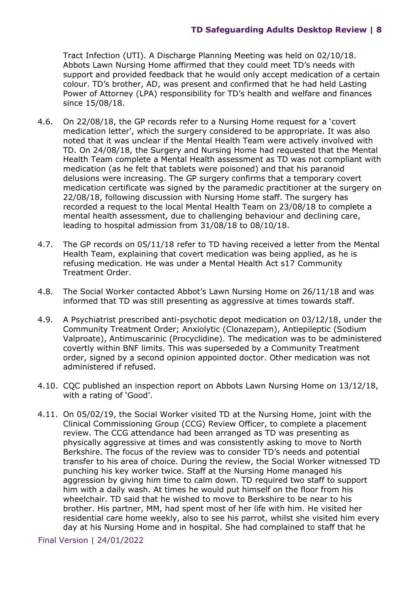Tract Infection (UTI). A Discharge Planning Meeting was held on 02/10/18. Abbots Lawn Nursing Home affirmed that they could meet TD's needs with support and provided feedback that he would only accept medication of a certain colour. TD's brother, AD, was present and confirmed that he had held Lasting Power of Attorney (LPA) responsibility for TD's health and welfare and finances since 15/08/18.

- 4.6. On 22/08/18, the GP records refer to a Nursing Home request for a 'covert medication letter', which the surgery considered to be appropriate. It was also noted that it was unclear if the Mental Health Team were actively involved with TD. On 24/08/18, the Surgery and Nursing Home had requested that the Mental Health Team complete a Mental Health assessment as TD was not compliant with medication (as he felt that tablets were poisoned) and that his paranoid delusions were increasing. The GP surgery confirms that a temporary covert medication certificate was signed by the paramedic practitioner at the surgery on 22/08/18, following discussion with Nursing Home staff. The surgery has recorded a request to the local Mental Health Team on 23/08/18 to complete a mental health assessment, due to challenging behaviour and declining care, leading to hospital admission from 31/08/18 to 08/10/18.
- 4.7. The GP records on 05/11/18 refer to TD having received a letter from the Mental Health Team, explaining that covert medication was being applied, as he is refusing medication. He was under a Mental Health Act s17 Community Treatment Order.
- 4.8. The Social Worker contacted Abbot's Lawn Nursing Home on 26/11/18 and was informed that TD was still presenting as aggressive at times towards staff.
- 4.9. A Psychiatrist prescribed anti-psychotic depot medication on 03/12/18, under the Community Treatment Order; Anxiolytic (Clonazepam), Antiepileptic (Sodium Valproate), Antimuscarinic (Procyclidine). The medication was to be administered covertly within BNF limits. This was superseded by a Community Treatment order, signed by a second opinion appointed doctor. Other medication was not administered if refused.
- 4.10. CQC published an inspection report on Abbots Lawn Nursing Home on 13/12/18, with a rating of 'Good'.
- 4.11. On 05/02/19, the Social Worker visited TD at the Nursing Home, joint with the Clinical Commissioning Group (CCG) Review Officer, to complete a placement review. The CCG attendance had been arranged as TD was presenting as physically aggressive at times and was consistently asking to move to North Berkshire. The focus of the review was to consider TD's needs and potential transfer to his area of choice. During the review, the Social Worker witnessed TD punching his key worker twice. Staff at the Nursing Home managed his aggression by giving him time to calm down. TD required two staff to support him with a daily wash. At times he would put himself on the floor from his wheelchair. TD said that he wished to move to Berkshire to be near to his brother. His partner, MM, had spent most of her life with him. He visited her residential care home weekly, also to see his parrot, whilst she visited him every day at his Nursing Home and in hospital. She had complained to staff that he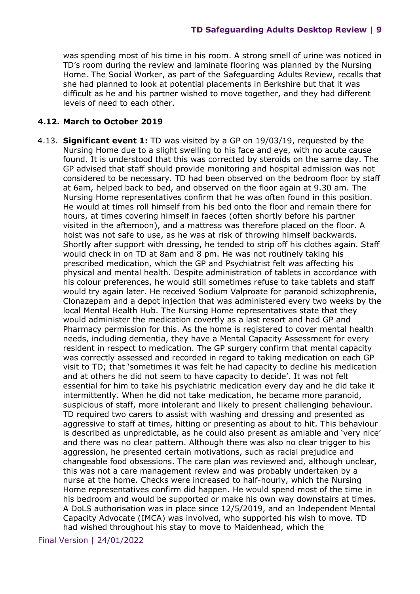was spending most of his time in his room. A strong smell of urine was noticed in TD's room during the review and laminate flooring was planned by the Nursing Home. The Social Worker, as part of the Safeguarding Adults Review, recalls that she had planned to look at potential placements in Berkshire but that it was difficult as he and his partner wished to move together, and they had different levels of need to each other.

#### **4.12. March to October 2019**

4.13. **Significant event 1:** TD was visited by a GP on 19/03/19, requested by the Nursing Home due to a slight swelling to his face and eye, with no acute cause found. It is understood that this was corrected by steroids on the same day. The GP advised that staff should provide monitoring and hospital admission was not considered to be necessary. TD had been observed on the bedroom floor by staff at 6am, helped back to bed, and observed on the floor again at 9.30 am. The Nursing Home representatives confirm that he was often found in this position. He would at times roll himself from his bed onto the floor and remain there for hours, at times covering himself in faeces (often shortly before his partner visited in the afternoon), and a mattress was therefore placed on the floor. A hoist was not safe to use, as he was at risk of throwing himself backwards. Shortly after support with dressing, he tended to strip off his clothes again. Staff would check in on TD at 8am and 8 pm. He was not routinely taking his prescribed medication, which the GP and Psychiatrist felt was affecting his physical and mental health. Despite administration of tablets in accordance with his colour preferences, he would still sometimes refuse to take tablets and staff would try again later. He received Sodium Valproate for paranoid schizophrenia, Clonazepam and a depot injection that was administered every two weeks by the local Mental Health Hub. The Nursing Home representatives state that they would administer the medication covertly as a last resort and had GP and Pharmacy permission for this. As the home is registered to cover mental health needs, including dementia, they have a Mental Capacity Assessment for every resident in respect to medication. The GP surgery confirm that mental capacity was correctly assessed and recorded in regard to taking medication on each GP visit to TD; that 'sometimes it was felt he had capacity to decline his medication and at others he did not seem to have capacity to decide'. It was not felt essential for him to take his psychiatric medication every day and he did take it intermittently. When he did not take medication, he became more paranoid, suspicious of staff, more intolerant and likely to present challenging behaviour. TD required two carers to assist with washing and dressing and presented as aggressive to staff at times, hitting or presenting as about to hit. This behaviour is described as unpredictable, as he could also present as amiable and 'very nice' and there was no clear pattern. Although there was also no clear trigger to his aggression, he presented certain motivations, such as racial prejudice and changeable food obsessions. The care plan was reviewed and, although unclear, this was not a care management review and was probably undertaken by a nurse at the home. Checks were increased to half-hourly, which the Nursing Home representatives confirm did happen. He would spend most of the time in his bedroom and would be supported or make his own way downstairs at times. A DoLS authorisation was in place since 12/5/2019, and an Independent Mental Capacity Advocate (IMCA) was involved, who supported his wish to move. TD had wished throughout his stay to move to Maidenhead, which the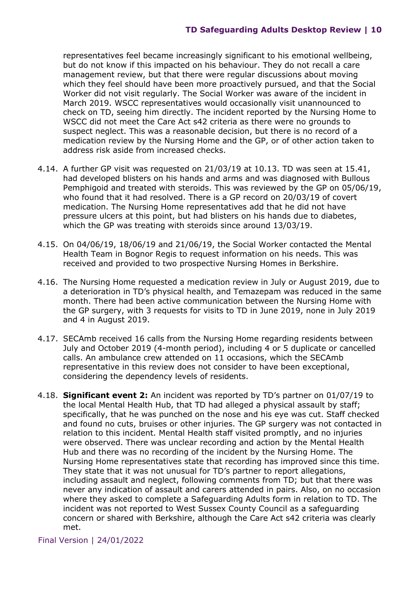representatives feel became increasingly significant to his emotional wellbeing, but do not know if this impacted on his behaviour. They do not recall a care management review, but that there were regular discussions about moving which they feel should have been more proactively pursued, and that the Social Worker did not visit regularly. The Social Worker was aware of the incident in March 2019. WSCC representatives would occasionally visit unannounced to check on TD, seeing him directly. The incident reported by the Nursing Home to WSCC did not meet the Care Act s42 criteria as there were no grounds to suspect neglect. This was a reasonable decision, but there is no record of a medication review by the Nursing Home and the GP, or of other action taken to address risk aside from increased checks.

- 4.14. A further GP visit was requested on 21/03/19 at 10.13. TD was seen at 15.41, had developed blisters on his hands and arms and was diagnosed with Bullous Pemphigoid and treated with steroids. This was reviewed by the GP on 05/06/19, who found that it had resolved. There is a GP record on 20/03/19 of covert medication. The Nursing Home representatives add that he did not have pressure ulcers at this point, but had blisters on his hands due to diabetes, which the GP was treating with steroids since around 13/03/19.
- 4.15. On 04/06/19, 18/06/19 and 21/06/19, the Social Worker contacted the Mental Health Team in Bognor Regis to request information on his needs. This was received and provided to two prospective Nursing Homes in Berkshire.
- 4.16. The Nursing Home requested a medication review in July or August 2019, due to a deterioration in TD's physical health, and Temazepam was reduced in the same month. There had been active communication between the Nursing Home with the GP surgery, with 3 requests for visits to TD in June 2019, none in July 2019 and 4 in August 2019.
- 4.17. SECAmb received 16 calls from the Nursing Home regarding residents between July and October 2019 (4-month period), including 4 or 5 duplicate or cancelled calls. An ambulance crew attended on 11 occasions, which the SECAmb representative in this review does not consider to have been exceptional, considering the dependency levels of residents.
- 4.18. **Significant event 2:** An incident was reported by TD's partner on 01/07/19 to the local Mental Health Hub, that TD had alleged a physical assault by staff; specifically, that he was punched on the nose and his eye was cut. Staff checked and found no cuts, bruises or other injuries. The GP surgery was not contacted in relation to this incident. Mental Health staff visited promptly, and no injuries were observed. There was unclear recording and action by the Mental Health Hub and there was no recording of the incident by the Nursing Home. The Nursing Home representatives state that recording has improved since this time. They state that it was not unusual for TD's partner to report allegations, including assault and neglect, following comments from TD; but that there was never any indication of assault and carers attended in pairs. Also, on no occasion where they asked to complete a Safeguarding Adults form in relation to TD. The incident was not reported to West Sussex County Council as a safeguarding concern or shared with Berkshire, although the Care Act s42 criteria was clearly met.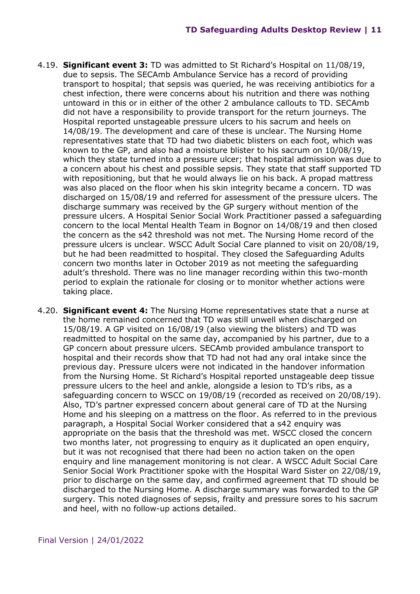- 4.19. **Significant event 3:** TD was admitted to St Richard's Hospital on 11/08/19, due to sepsis. The SECAmb Ambulance Service has a record of providing transport to hospital; that sepsis was queried, he was receiving antibiotics for a chest infection, there were concerns about his nutrition and there was nothing untoward in this or in either of the other 2 ambulance callouts to TD. SECAmb did not have a responsibility to provide transport for the return journeys. The Hospital reported unstageable pressure ulcers to his sacrum and heels on 14/08/19. The development and care of these is unclear. The Nursing Home representatives state that TD had two diabetic blisters on each foot, which was known to the GP, and also had a moisture blister to his sacrum on 10/08/19, which they state turned into a pressure ulcer; that hospital admission was due to a concern about his chest and possible sepsis. They state that staff supported TD with repositioning, but that he would always lie on his back. A propad mattress was also placed on the floor when his skin integrity became a concern. TD was discharged on 15/08/19 and referred for assessment of the pressure ulcers. The discharge summary was received by the GP surgery without mention of the pressure ulcers. A Hospital Senior Social Work Practitioner passed a safeguarding concern to the local Mental Health Team in Bognor on 14/08/19 and then closed the concern as the s42 threshold was not met. The Nursing Home record of the pressure ulcers is unclear. WSCC Adult Social Care planned to visit on 20/08/19, but he had been readmitted to hospital. They closed the Safeguarding Adults concern two months later in October 2019 as not meeting the safeguarding adult's threshold. There was no line manager recording within this two-month period to explain the rationale for closing or to monitor whether actions were taking place.
- 4.20. **Significant event 4:** The Nursing Home representatives state that a nurse at the home remained concerned that TD was still unwell when discharged on 15/08/19. A GP visited on 16/08/19 (also viewing the blisters) and TD was readmitted to hospital on the same day, accompanied by his partner, due to a GP concern about pressure ulcers. SECAmb provided ambulance transport to hospital and their records show that TD had not had any oral intake since the previous day. Pressure ulcers were not indicated in the handover information from the Nursing Home. St Richard's Hospital reported unstageable deep tissue pressure ulcers to the heel and ankle, alongside a lesion to TD's ribs, as a safeguarding concern to WSCC on 19/08/19 (recorded as received on 20/08/19). Also, TD's partner expressed concern about general care of TD at the Nursing Home and his sleeping on a mattress on the floor. As referred to in the previous paragraph, a Hospital Social Worker considered that a s42 enquiry was appropriate on the basis that the threshold was met. WSCC closed the concern two months later, not progressing to enquiry as it duplicated an open enquiry, but it was not recognised that there had been no action taken on the open enquiry and line management monitoring is not clear. A WSCC Adult Social Care Senior Social Work Practitioner spoke with the Hospital Ward Sister on 22/08/19, prior to discharge on the same day, and confirmed agreement that TD should be discharged to the Nursing Home. A discharge summary was forwarded to the GP surgery. This noted diagnoses of sepsis, frailty and pressure sores to his sacrum and heel, with no follow-up actions detailed.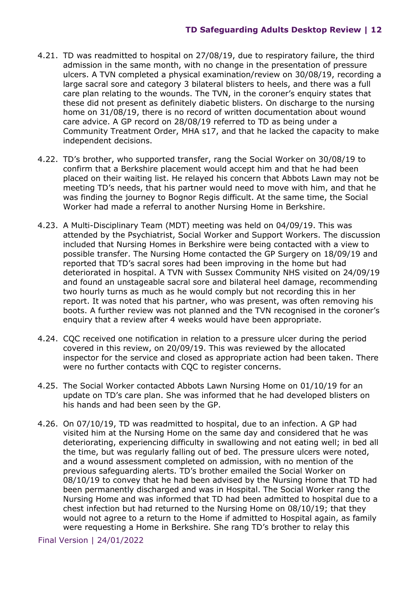- 4.21. TD was readmitted to hospital on 27/08/19, due to respiratory failure, the third admission in the same month, with no change in the presentation of pressure ulcers. A TVN completed a physical examination/review on 30/08/19, recording a large sacral sore and category 3 bilateral blisters to heels, and there was a full care plan relating to the wounds. The TVN, in the coroner's enquiry states that these did not present as definitely diabetic blisters. On discharge to the nursing home on 31/08/19, there is no record of written documentation about wound care advice. A GP record on 28/08/19 referred to TD as being under a Community Treatment Order, MHA s17, and that he lacked the capacity to make independent decisions.
- 4.22. TD's brother, who supported transfer, rang the Social Worker on 30/08/19 to confirm that a Berkshire placement would accept him and that he had been placed on their waiting list. He relayed his concern that Abbots Lawn may not be meeting TD's needs, that his partner would need to move with him, and that he was finding the journey to Bognor Regis difficult. At the same time, the Social Worker had made a referral to another Nursing Home in Berkshire.
- 4.23. A Multi-Disciplinary Team (MDT) meeting was held on 04/09/19. This was attended by the Psychiatrist, Social Worker and Support Workers. The discussion included that Nursing Homes in Berkshire were being contacted with a view to possible transfer. The Nursing Home contacted the GP Surgery on 18/09/19 and reported that TD's sacral sores had been improving in the home but had deteriorated in hospital. A TVN with Sussex Community NHS visited on 24/09/19 and found an unstageable sacral sore and bilateral heel damage, recommending two hourly turns as much as he would comply but not recording this in her report. It was noted that his partner, who was present, was often removing his boots. A further review was not planned and the TVN recognised in the coroner's enquiry that a review after 4 weeks would have been appropriate.
- 4.24. CQC received one notification in relation to a pressure ulcer during the period covered in this review, on 20/09/19. This was reviewed by the allocated inspector for the service and closed as appropriate action had been taken. There were no further contacts with CQC to register concerns.
- 4.25. The Social Worker contacted Abbots Lawn Nursing Home on 01/10/19 for an update on TD's care plan. She was informed that he had developed blisters on his hands and had been seen by the GP.
- 4.26. On 07/10/19, TD was readmitted to hospital, due to an infection. A GP had visited him at the Nursing Home on the same day and considered that he was deteriorating, experiencing difficulty in swallowing and not eating well; in bed all the time, but was regularly falling out of bed. The pressure ulcers were noted, and a wound assessment completed on admission, with no mention of the previous safeguarding alerts. TD's brother emailed the Social Worker on 08/10/19 to convey that he had been advised by the Nursing Home that TD had been permanently discharged and was in Hospital. The Social Worker rang the Nursing Home and was informed that TD had been admitted to hospital due to a chest infection but had returned to the Nursing Home on 08/10/19; that they would not agree to a return to the Home if admitted to Hospital again, as family were requesting a Home in Berkshire. She rang TD's brother to relay this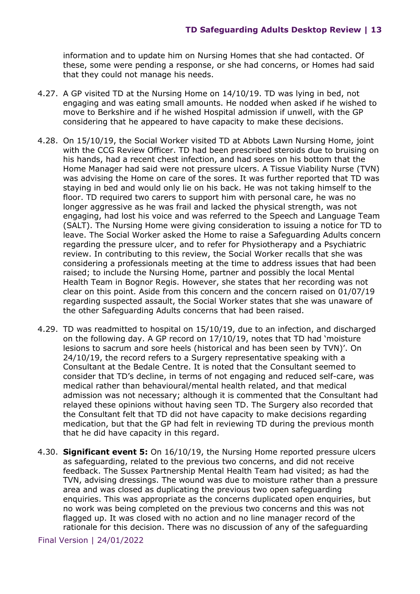information and to update him on Nursing Homes that she had contacted. Of these, some were pending a response, or she had concerns, or Homes had said that they could not manage his needs.

- 4.27. A GP visited TD at the Nursing Home on 14/10/19. TD was lying in bed, not engaging and was eating small amounts. He nodded when asked if he wished to move to Berkshire and if he wished Hospital admission if unwell, with the GP considering that he appeared to have capacity to make these decisions.
- 4.28. On 15/10/19, the Social Worker visited TD at Abbots Lawn Nursing Home, joint with the CCG Review Officer. TD had been prescribed steroids due to bruising on his hands, had a recent chest infection, and had sores on his bottom that the Home Manager had said were not pressure ulcers. A Tissue Viability Nurse (TVN) was advising the Home on care of the sores. It was further reported that TD was staying in bed and would only lie on his back. He was not taking himself to the floor. TD required two carers to support him with personal care, he was no longer aggressive as he was frail and lacked the physical strength, was not engaging, had lost his voice and was referred to the Speech and Language Team (SALT). The Nursing Home were giving consideration to issuing a notice for TD to leave. The Social Worker asked the Home to raise a Safeguarding Adults concern regarding the pressure ulcer, and to refer for Physiotherapy and a Psychiatric review. In contributing to this review, the Social Worker recalls that she was considering a professionals meeting at the time to address issues that had been raised; to include the Nursing Home, partner and possibly the local Mental Health Team in Bognor Regis. However, she states that her recording was not clear on this point. Aside from this concern and the concern raised on 01/07/19 regarding suspected assault, the Social Worker states that she was unaware of the other Safeguarding Adults concerns that had been raised.
- 4.29. TD was readmitted to hospital on 15/10/19, due to an infection, and discharged on the following day. A GP record on 17/10/19, notes that TD had 'moisture lesions to sacrum and sore heels (historical and has been seen by TVN)'. On 24/10/19, the record refers to a Surgery representative speaking with a Consultant at the Bedale Centre. It is noted that the Consultant seemed to consider that TD's decline, in terms of not engaging and reduced self-care, was medical rather than behavioural/mental health related, and that medical admission was not necessary; although it is commented that the Consultant had relayed these opinions without having seen TD. The Surgery also recorded that the Consultant felt that TD did not have capacity to make decisions regarding medication, but that the GP had felt in reviewing TD during the previous month that he did have capacity in this regard.
- 4.30. **Significant event 5:** On 16/10/19, the Nursing Home reported pressure ulcers as safeguarding, related to the previous two concerns, and did not receive feedback. The Sussex Partnership Mental Health Team had visited; as had the TVN, advising dressings. The wound was due to moisture rather than a pressure area and was closed as duplicating the previous two open safeguarding enquiries. This was appropriate as the concerns duplicated open enquiries, but no work was being completed on the previous two concerns and this was not flagged up. It was closed with no action and no line manager record of the rationale for this decision. There was no discussion of any of the safeguarding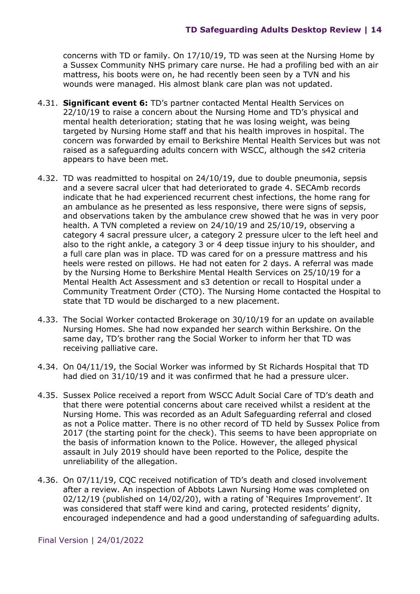concerns with TD or family. On 17/10/19, TD was seen at the Nursing Home by a Sussex Community NHS primary care nurse. He had a profiling bed with an air mattress, his boots were on, he had recently been seen by a TVN and his wounds were managed. His almost blank care plan was not updated.

- 4.31. **Significant event 6:** TD's partner contacted Mental Health Services on 22/10/19 to raise a concern about the Nursing Home and TD's physical and mental health deterioration; stating that he was losing weight, was being targeted by Nursing Home staff and that his health improves in hospital. The concern was forwarded by email to Berkshire Mental Health Services but was not raised as a safeguarding adults concern with WSCC, although the s42 criteria appears to have been met.
- 4.32. TD was readmitted to hospital on 24/10/19, due to double pneumonia, sepsis and a severe sacral ulcer that had deteriorated to grade 4. SECAmb records indicate that he had experienced recurrent chest infections, the home rang for an ambulance as he presented as less responsive, there were signs of sepsis, and observations taken by the ambulance crew showed that he was in very poor health. A TVN completed a review on 24/10/19 and 25/10/19, observing a category 4 sacral pressure ulcer, a category 2 pressure ulcer to the left heel and also to the right ankle, a category 3 or 4 deep tissue injury to his shoulder, and a full care plan was in place. TD was cared for on a pressure mattress and his heels were rested on pillows. He had not eaten for 2 days. A referral was made by the Nursing Home to Berkshire Mental Health Services on 25/10/19 for a Mental Health Act Assessment and s3 detention or recall to Hospital under a Community Treatment Order (CTO). The Nursing Home contacted the Hospital to state that TD would be discharged to a new placement.
- 4.33. The Social Worker contacted Brokerage on 30/10/19 for an update on available Nursing Homes. She had now expanded her search within Berkshire. On the same day, TD's brother rang the Social Worker to inform her that TD was receiving palliative care.
- 4.34. On 04/11/19, the Social Worker was informed by St Richards Hospital that TD had died on 31/10/19 and it was confirmed that he had a pressure ulcer.
- 4.35. Sussex Police received a report from WSCC Adult Social Care of TD's death and that there were potential concerns about care received whilst a resident at the Nursing Home. This was recorded as an Adult Safeguarding referral and closed as not a Police matter. There is no other record of TD held by Sussex Police from 2017 (the starting point for the check). This seems to have been appropriate on the basis of information known to the Police. However, the alleged physical assault in July 2019 should have been reported to the Police, despite the unreliability of the allegation.
- 4.36. On 07/11/19, CQC received notification of TD's death and closed involvement after a review. An inspection of Abbots Lawn Nursing Home was completed on 02/12/19 (published on 14/02/20), with a rating of 'Requires Improvement'. It was considered that staff were kind and caring, protected residents' dignity, encouraged independence and had a good understanding of safeguarding adults.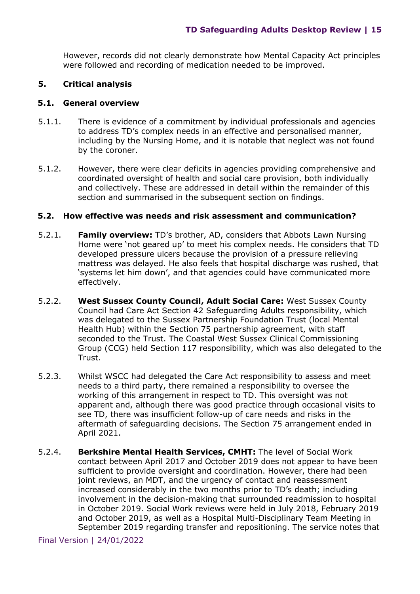However, records did not clearly demonstrate how Mental Capacity Act principles were followed and recording of medication needed to be improved.

#### <span id="page-14-0"></span>**5. Critical analysis**

#### **5.1. General overview**

- 5.1.1. There is evidence of a commitment by individual professionals and agencies to address TD's complex needs in an effective and personalised manner, including by the Nursing Home, and it is notable that neglect was not found by the coroner.
- 5.1.2. However, there were clear deficits in agencies providing comprehensive and coordinated oversight of health and social care provision, both individually and collectively. These are addressed in detail within the remainder of this section and summarised in the subsequent section on findings.

#### **5.2. How effective was needs and risk assessment and communication?**

- 5.2.1. **Family overview:** TD's brother, AD, considers that Abbots Lawn Nursing Home were 'not geared up' to meet his complex needs. He considers that TD developed pressure ulcers because the provision of a pressure relieving mattress was delayed. He also feels that hospital discharge was rushed, that 'systems let him down', and that agencies could have communicated more effectively.
- 5.2.2. **West Sussex County Council, Adult Social Care:** West Sussex County Council had Care Act Section 42 Safeguarding Adults responsibility, which was delegated to the Sussex Partnership Foundation Trust (local Mental Health Hub) within the Section 75 partnership agreement, with staff seconded to the Trust. The Coastal West Sussex Clinical Commissioning Group (CCG) held Section 117 responsibility, which was also delegated to the Trust.
- 5.2.3. Whilst WSCC had delegated the Care Act responsibility to assess and meet needs to a third party, there remained a responsibility to oversee the working of this arrangement in respect to TD. This oversight was not apparent and, although there was good practice through occasional visits to see TD, there was insufficient follow-up of care needs and risks in the aftermath of safeguarding decisions. The Section 75 arrangement ended in April 2021.
- 5.2.4. **Berkshire Mental Health Services, CMHT:** The level of Social Work contact between April 2017 and October 2019 does not appear to have been sufficient to provide oversight and coordination. However, there had been joint reviews, an MDT, and the urgency of contact and reassessment increased considerably in the two months prior to TD's death; including involvement in the decision-making that surrounded readmission to hospital in October 2019. Social Work reviews were held in July 2018, February 2019 and October 2019, as well as a Hospital Multi-Disciplinary Team Meeting in September 2019 regarding transfer and repositioning. The service notes that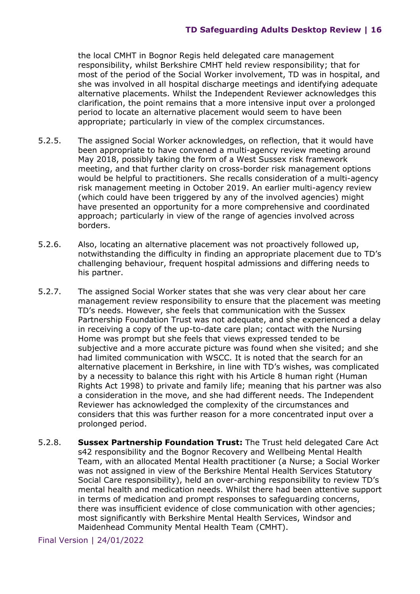the local CMHT in Bognor Regis held delegated care management responsibility, whilst Berkshire CMHT held review responsibility; that for most of the period of the Social Worker involvement, TD was in hospital, and she was involved in all hospital discharge meetings and identifying adequate alternative placements. Whilst the Independent Reviewer acknowledges this clarification, the point remains that a more intensive input over a prolonged period to locate an alternative placement would seem to have been appropriate; particularly in view of the complex circumstances.

- 5.2.5. The assigned Social Worker acknowledges, on reflection, that it would have been appropriate to have convened a multi-agency review meeting around May 2018, possibly taking the form of a West Sussex risk framework meeting, and that further clarity on cross-border risk management options would be helpful to practitioners. She recalls consideration of a multi-agency risk management meeting in October 2019. An earlier multi-agency review (which could have been triggered by any of the involved agencies) might have presented an opportunity for a more comprehensive and coordinated approach; particularly in view of the range of agencies involved across borders.
- 5.2.6. Also, locating an alternative placement was not proactively followed up, notwithstanding the difficulty in finding an appropriate placement due to TD's challenging behaviour, frequent hospital admissions and differing needs to his partner.
- 5.2.7. The assigned Social Worker states that she was very clear about her care management review responsibility to ensure that the placement was meeting TD's needs. However, she feels that communication with the Sussex Partnership Foundation Trust was not adequate, and she experienced a delay in receiving a copy of the up-to-date care plan; contact with the Nursing Home was prompt but she feels that views expressed tended to be subjective and a more accurate picture was found when she visited; and she had limited communication with WSCC. It is noted that the search for an alternative placement in Berkshire, in line with TD's wishes, was complicated by a necessity to balance this right with his Article 8 human right (Human Rights Act 1998) to private and family life; meaning that his partner was also a consideration in the move, and she had different needs. The Independent Reviewer has acknowledged the complexity of the circumstances and considers that this was further reason for a more concentrated input over a prolonged period.
- 5.2.8. **Sussex Partnership Foundation Trust:** The Trust held delegated Care Act s42 responsibility and the Bognor Recovery and Wellbeing Mental Health Team, with an allocated Mental Health practitioner (a Nurse; a Social Worker was not assigned in view of the Berkshire Mental Health Services Statutory Social Care responsibility), held an over-arching responsibility to review TD's mental health and medication needs. Whilst there had been attentive support in terms of medication and prompt responses to safeguarding concerns, there was insufficient evidence of close communication with other agencies; most significantly with Berkshire Mental Health Services, Windsor and Maidenhead Community Mental Health Team (CMHT).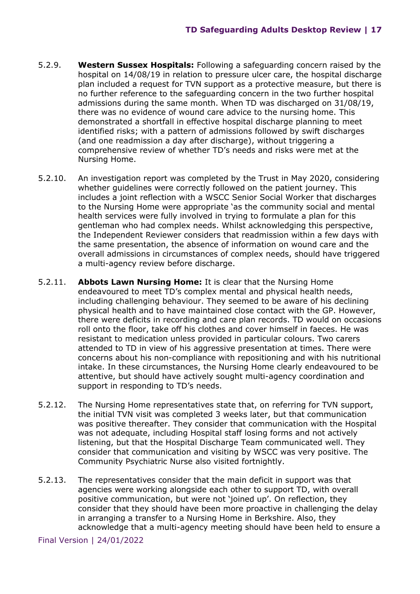- 5.2.9. **Western Sussex Hospitals:** Following a safeguarding concern raised by the hospital on 14/08/19 in relation to pressure ulcer care, the hospital discharge plan included a request for TVN support as a protective measure, but there is no further reference to the safeguarding concern in the two further hospital admissions during the same month. When TD was discharged on 31/08/19, there was no evidence of wound care advice to the nursing home. This demonstrated a shortfall in effective hospital discharge planning to meet identified risks; with a pattern of admissions followed by swift discharges (and one readmission a day after discharge), without triggering a comprehensive review of whether TD's needs and risks were met at the Nursing Home.
- 5.2.10. An investigation report was completed by the Trust in May 2020, considering whether guidelines were correctly followed on the patient journey. This includes a joint reflection with a WSCC Senior Social Worker that discharges to the Nursing Home were appropriate 'as the community social and mental health services were fully involved in trying to formulate a plan for this gentleman who had complex needs. Whilst acknowledging this perspective, the Independent Reviewer considers that readmission within a few days with the same presentation, the absence of information on wound care and the overall admissions in circumstances of complex needs, should have triggered a multi-agency review before discharge.
- 5.2.11. **Abbots Lawn Nursing Home:** It is clear that the Nursing Home endeavoured to meet TD's complex mental and physical health needs, including challenging behaviour. They seemed to be aware of his declining physical health and to have maintained close contact with the GP. However, there were deficits in recording and care plan records. TD would on occasions roll onto the floor, take off his clothes and cover himself in faeces. He was resistant to medication unless provided in particular colours. Two carers attended to TD in view of his aggressive presentation at times. There were concerns about his non-compliance with repositioning and with his nutritional intake. In these circumstances, the Nursing Home clearly endeavoured to be attentive, but should have actively sought multi-agency coordination and support in responding to TD's needs.
- 5.2.12. The Nursing Home representatives state that, on referring for TVN support, the initial TVN visit was completed 3 weeks later, but that communication was positive thereafter. They consider that communication with the Hospital was not adequate, including Hospital staff losing forms and not actively listening, but that the Hospital Discharge Team communicated well. They consider that communication and visiting by WSCC was very positive. The Community Psychiatric Nurse also visited fortnightly.
- 5.2.13. The representatives consider that the main deficit in support was that agencies were working alongside each other to support TD, with overall positive communication, but were not 'joined up'. On reflection, they consider that they should have been more proactive in challenging the delay in arranging a transfer to a Nursing Home in Berkshire. Also, they acknowledge that a multi-agency meeting should have been held to ensure a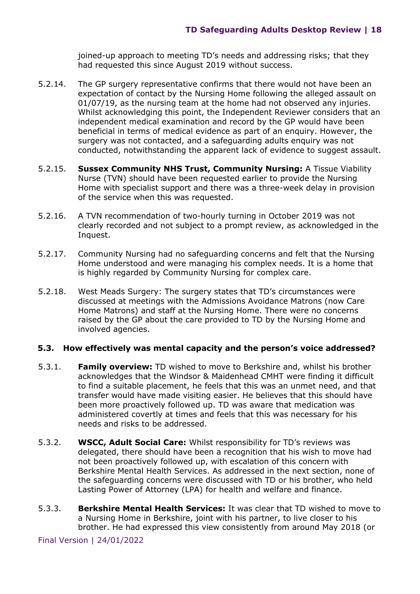joined-up approach to meeting TD's needs and addressing risks; that they had requested this since August 2019 without success.

- 5.2.14. The GP surgery representative confirms that there would not have been an expectation of contact by the Nursing Home following the alleged assault on 01/07/19, as the nursing team at the home had not observed any injuries. Whilst acknowledging this point, the Independent Reviewer considers that an independent medical examination and record by the GP would have been beneficial in terms of medical evidence as part of an enquiry. However, the surgery was not contacted, and a safeguarding adults enquiry was not conducted, notwithstanding the apparent lack of evidence to suggest assault.
- 5.2.15. **Sussex Community NHS Trust, Community Nursing:** A Tissue Viability Nurse (TVN) should have been requested earlier to provide the Nursing Home with specialist support and there was a three-week delay in provision of the service when this was requested.
- 5.2.16. A TVN recommendation of two-hourly turning in October 2019 was not clearly recorded and not subject to a prompt review, as acknowledged in the Inquest.
- 5.2.17. Community Nursing had no safeguarding concerns and felt that the Nursing Home understood and were managing his complex needs. It is a home that is highly regarded by Community Nursing for complex care.
- 5.2.18. West Meads Surgery: The surgery states that TD's circumstances were discussed at meetings with the Admissions Avoidance Matrons (now Care Home Matrons) and staff at the Nursing Home. There were no concerns raised by the GP about the care provided to TD by the Nursing Home and involved agencies.

#### **5.3. How effectively was mental capacity and the person's voice addressed?**

- 5.3.1. **Family overview:** TD wished to move to Berkshire and, whilst his brother acknowledges that the Windsor & Maidenhead CMHT were finding it difficult to find a suitable placement, he feels that this was an unmet need, and that transfer would have made visiting easier. He believes that this should have been more proactively followed up. TD was aware that medication was administered covertly at times and feels that this was necessary for his needs and risks to be addressed.
- 5.3.2. **WSCC, Adult Social Care:** Whilst responsibility for TD's reviews was delegated, there should have been a recognition that his wish to move had not been proactively followed up, with escalation of this concern with Berkshire Mental Health Services. As addressed in the next section, none of the safeguarding concerns were discussed with TD or his brother, who held Lasting Power of Attorney (LPA) for health and welfare and finance.
- 5.3.3. **Berkshire Mental Health Services:** It was clear that TD wished to move to a Nursing Home in Berkshire, joint with his partner, to live closer to his brother. He had expressed this view consistently from around May 2018 (or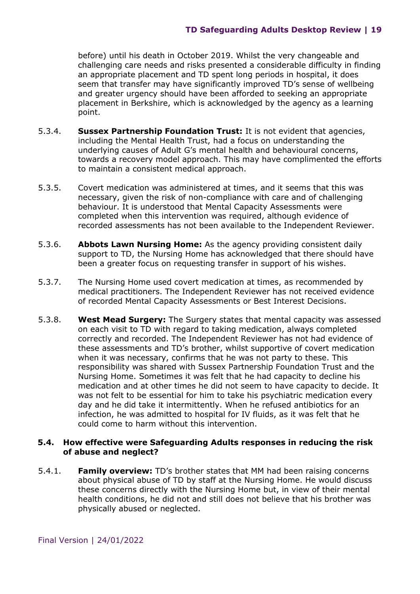before) until his death in October 2019. Whilst the very changeable and challenging care needs and risks presented a considerable difficulty in finding an appropriate placement and TD spent long periods in hospital, it does seem that transfer may have significantly improved TD's sense of wellbeing and greater urgency should have been afforded to seeking an appropriate placement in Berkshire, which is acknowledged by the agency as a learning point.

- 5.3.4. **Sussex Partnership Foundation Trust:** It is not evident that agencies, including the Mental Health Trust, had a focus on understanding the underlying causes of Adult G's mental health and behavioural concerns, towards a recovery model approach. This may have complimented the efforts to maintain a consistent medical approach.
- 5.3.5. Covert medication was administered at times, and it seems that this was necessary, given the risk of non-compliance with care and of challenging behaviour. It is understood that Mental Capacity Assessments were completed when this intervention was required, although evidence of recorded assessments has not been available to the Independent Reviewer.
- 5.3.6. **Abbots Lawn Nursing Home:** As the agency providing consistent daily support to TD, the Nursing Home has acknowledged that there should have been a greater focus on requesting transfer in support of his wishes.
- 5.3.7. The Nursing Home used covert medication at times, as recommended by medical practitioners. The Independent Reviewer has not received evidence of recorded Mental Capacity Assessments or Best Interest Decisions.
- 5.3.8. **West Mead Surgery:** The Surgery states that mental capacity was assessed on each visit to TD with regard to taking medication, always completed correctly and recorded. The Independent Reviewer has not had evidence of these assessments and TD's brother, whilst supportive of covert medication when it was necessary, confirms that he was not party to these. This responsibility was shared with Sussex Partnership Foundation Trust and the Nursing Home. Sometimes it was felt that he had capacity to decline his medication and at other times he did not seem to have capacity to decide. It was not felt to be essential for him to take his psychiatric medication every day and he did take it intermittently. When he refused antibiotics for an infection, he was admitted to hospital for IV fluids, as it was felt that he could come to harm without this intervention.

#### **5.4. How effective were Safeguarding Adults responses in reducing the risk of abuse and neglect?**

5.4.1. **Family overview:** TD's brother states that MM had been raising concerns about physical abuse of TD by staff at the Nursing Home. He would discuss these concerns directly with the Nursing Home but, in view of their mental health conditions, he did not and still does not believe that his brother was physically abused or neglected.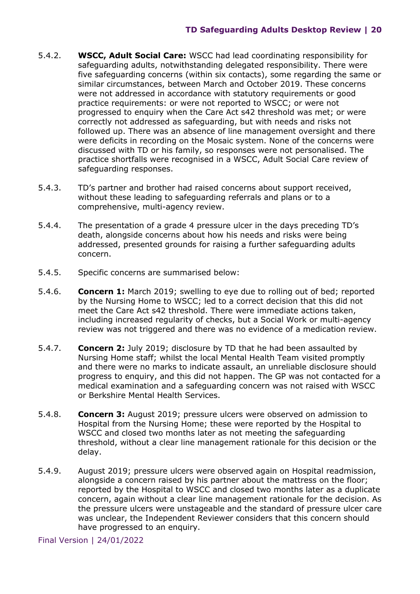- 5.4.2. **WSCC, Adult Social Care:** WSCC had lead coordinating responsibility for safeguarding adults, notwithstanding delegated responsibility. There were five safeguarding concerns (within six contacts), some regarding the same or similar circumstances, between March and October 2019. These concerns were not addressed in accordance with statutory requirements or good practice requirements: or were not reported to WSCC; or were not progressed to enquiry when the Care Act s42 threshold was met; or were correctly not addressed as safeguarding, but with needs and risks not followed up. There was an absence of line management oversight and there were deficits in recording on the Mosaic system. None of the concerns were discussed with TD or his family, so responses were not personalised. The practice shortfalls were recognised in a WSCC, Adult Social Care review of safeguarding responses.
- 5.4.3. TD's partner and brother had raised concerns about support received, without these leading to safeguarding referrals and plans or to a comprehensive, multi-agency review.
- 5.4.4. The presentation of a grade 4 pressure ulcer in the days preceding TD's death, alongside concerns about how his needs and risks were being addressed, presented grounds for raising a further safeguarding adults concern.
- 5.4.5. Specific concerns are summarised below:
- 5.4.6. **Concern 1:** March 2019; swelling to eye due to rolling out of bed; reported by the Nursing Home to WSCC; led to a correct decision that this did not meet the Care Act s42 threshold. There were immediate actions taken, including increased regularity of checks, but a Social Work or multi-agency review was not triggered and there was no evidence of a medication review.
- 5.4.7. **Concern 2:** July 2019; disclosure by TD that he had been assaulted by Nursing Home staff; whilst the local Mental Health Team visited promptly and there were no marks to indicate assault, an unreliable disclosure should progress to enquiry, and this did not happen. The GP was not contacted for a medical examination and a safeguarding concern was not raised with WSCC or Berkshire Mental Health Services.
- 5.4.8. **Concern 3:** August 2019; pressure ulcers were observed on admission to Hospital from the Nursing Home; these were reported by the Hospital to WSCC and closed two months later as not meeting the safeguarding threshold, without a clear line management rationale for this decision or the delay.
- 5.4.9. August 2019; pressure ulcers were observed again on Hospital readmission, alongside a concern raised by his partner about the mattress on the floor; reported by the Hospital to WSCC and closed two months later as a duplicate concern, again without a clear line management rationale for the decision. As the pressure ulcers were unstageable and the standard of pressure ulcer care was unclear, the Independent Reviewer considers that this concern should have progressed to an enquiry.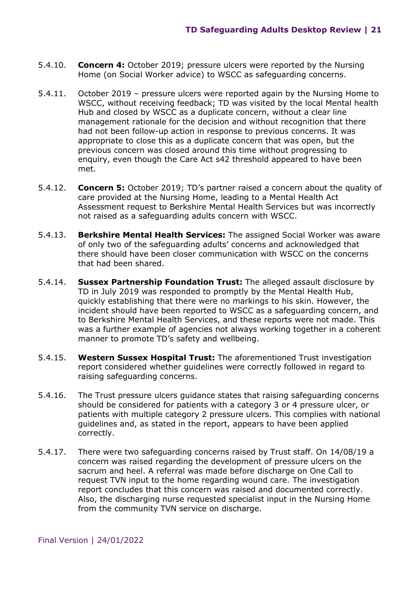- 5.4.10. **Concern 4:** October 2019; pressure ulcers were reported by the Nursing Home (on Social Worker advice) to WSCC as safeguarding concerns.
- 5.4.11. October 2019 pressure ulcers were reported again by the Nursing Home to WSCC, without receiving feedback; TD was visited by the local Mental health Hub and closed by WSCC as a duplicate concern, without a clear line management rationale for the decision and without recognition that there had not been follow-up action in response to previous concerns. It was appropriate to close this as a duplicate concern that was open, but the previous concern was closed around this time without progressing to enquiry, even though the Care Act s42 threshold appeared to have been met.
- 5.4.12. **Concern 5:** October 2019; TD's partner raised a concern about the quality of care provided at the Nursing Home, leading to a Mental Health Act Assessment request to Berkshire Mental Health Services but was incorrectly not raised as a safeguarding adults concern with WSCC.
- 5.4.13. **Berkshire Mental Health Services:** The assigned Social Worker was aware of only two of the safeguarding adults' concerns and acknowledged that there should have been closer communication with WSCC on the concerns that had been shared.
- 5.4.14. **Sussex Partnership Foundation Trust:** The alleged assault disclosure by TD in July 2019 was responded to promptly by the Mental Health Hub, quickly establishing that there were no markings to his skin. However, the incident should have been reported to WSCC as a safeguarding concern, and to Berkshire Mental Health Services, and these reports were not made. This was a further example of agencies not always working together in a coherent manner to promote TD's safety and wellbeing.
- 5.4.15. **Western Sussex Hospital Trust:** The aforementioned Trust investigation report considered whether guidelines were correctly followed in regard to raising safeguarding concerns.
- 5.4.16. The Trust pressure ulcers guidance states that raising safeguarding concerns should be considered for patients with a category 3 or 4 pressure ulcer, or patients with multiple category 2 pressure ulcers. This complies with national guidelines and, as stated in the report, appears to have been applied correctly.
- 5.4.17. There were two safeguarding concerns raised by Trust staff. On 14/08/19 a concern was raised regarding the development of pressure ulcers on the sacrum and heel. A referral was made before discharge on One Call to request TVN input to the home regarding wound care. The investigation report concludes that this concern was raised and documented correctly. Also, the discharging nurse requested specialist input in the Nursing Home from the community TVN service on discharge.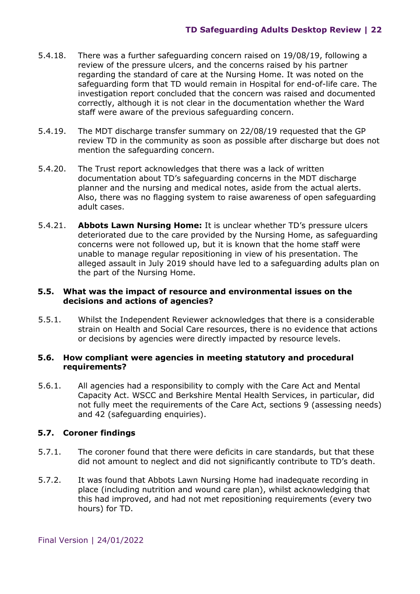- 5.4.18. There was a further safeguarding concern raised on 19/08/19, following a review of the pressure ulcers, and the concerns raised by his partner regarding the standard of care at the Nursing Home. It was noted on the safeguarding form that TD would remain in Hospital for end-of-life care. The investigation report concluded that the concern was raised and documented correctly, although it is not clear in the documentation whether the Ward staff were aware of the previous safeguarding concern.
- 5.4.19. The MDT discharge transfer summary on 22/08/19 requested that the GP review TD in the community as soon as possible after discharge but does not mention the safeguarding concern.
- 5.4.20. The Trust report acknowledges that there was a lack of written documentation about TD's safeguarding concerns in the MDT discharge planner and the nursing and medical notes, aside from the actual alerts. Also, there was no flagging system to raise awareness of open safeguarding adult cases.
- 5.4.21. **Abbots Lawn Nursing Home:** It is unclear whether TD's pressure ulcers deteriorated due to the care provided by the Nursing Home, as safeguarding concerns were not followed up, but it is known that the home staff were unable to manage regular repositioning in view of his presentation. The alleged assault in July 2019 should have led to a safeguarding adults plan on the part of the Nursing Home.

#### **5.5. What was the impact of resource and environmental issues on the decisions and actions of agencies?**

5.5.1. Whilst the Independent Reviewer acknowledges that there is a considerable strain on Health and Social Care resources, there is no evidence that actions or decisions by agencies were directly impacted by resource levels.

#### **5.6. How compliant were agencies in meeting statutory and procedural requirements?**

5.6.1. All agencies had a responsibility to comply with the Care Act and Mental Capacity Act. WSCC and Berkshire Mental Health Services, in particular, did not fully meet the requirements of the Care Act, sections 9 (assessing needs) and 42 (safeguarding enquiries).

## **5.7. Coroner findings**

- 5.7.1. The coroner found that there were deficits in care standards, but that these did not amount to neglect and did not significantly contribute to TD's death.
- 5.7.2. It was found that Abbots Lawn Nursing Home had inadequate recording in place (including nutrition and wound care plan), whilst acknowledging that this had improved, and had not met repositioning requirements (every two hours) for TD.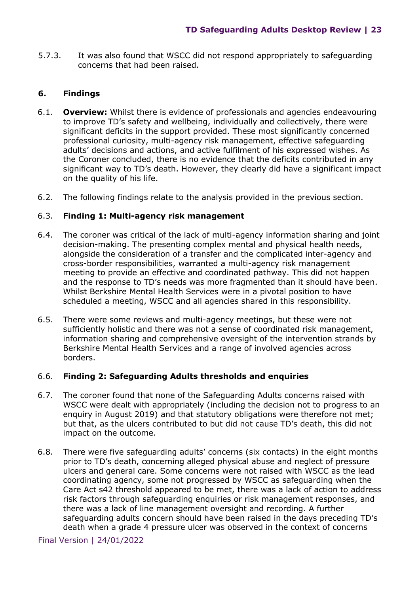5.7.3. It was also found that WSCC did not respond appropriately to safeguarding concerns that had been raised.

## <span id="page-22-0"></span>**6. Findings**

- 6.1. **Overview:** Whilst there is evidence of professionals and agencies endeavouring to improve TD's safety and wellbeing, individually and collectively, there were significant deficits in the support provided. These most significantly concerned professional curiosity, multi-agency risk management, effective safeguarding adults' decisions and actions, and active fulfilment of his expressed wishes. As the Coroner concluded, there is no evidence that the deficits contributed in any significant way to TD's death. However, they clearly did have a significant impact on the quality of his life.
- 6.2. The following findings relate to the analysis provided in the previous section.

## 6.3. **Finding 1: Multi-agency risk management**

- 6.4. The coroner was critical of the lack of multi-agency information sharing and joint decision-making. The presenting complex mental and physical health needs, alongside the consideration of a transfer and the complicated inter-agency and cross-border responsibilities, warranted a multi-agency risk management meeting to provide an effective and coordinated pathway. This did not happen and the response to TD's needs was more fragmented than it should have been. Whilst Berkshire Mental Health Services were in a pivotal position to have scheduled a meeting, WSCC and all agencies shared in this responsibility.
- 6.5. There were some reviews and multi-agency meetings, but these were not sufficiently holistic and there was not a sense of coordinated risk management, information sharing and comprehensive oversight of the intervention strands by Berkshire Mental Health Services and a range of involved agencies across borders.

## 6.6. **Finding 2: Safeguarding Adults thresholds and enquiries**

- 6.7. The coroner found that none of the Safeguarding Adults concerns raised with WSCC were dealt with appropriately (including the decision not to progress to an enquiry in August 2019) and that statutory obligations were therefore not met; but that, as the ulcers contributed to but did not cause TD's death, this did not impact on the outcome.
- 6.8. There were five safeguarding adults' concerns (six contacts) in the eight months prior to TD's death, concerning alleged physical abuse and neglect of pressure ulcers and general care. Some concerns were not raised with WSCC as the lead coordinating agency, some not progressed by WSCC as safeguarding when the Care Act s42 threshold appeared to be met, there was a lack of action to address risk factors through safeguarding enquiries or risk management responses, and there was a lack of line management oversight and recording. A further safeguarding adults concern should have been raised in the days preceding TD's death when a grade 4 pressure ulcer was observed in the context of concerns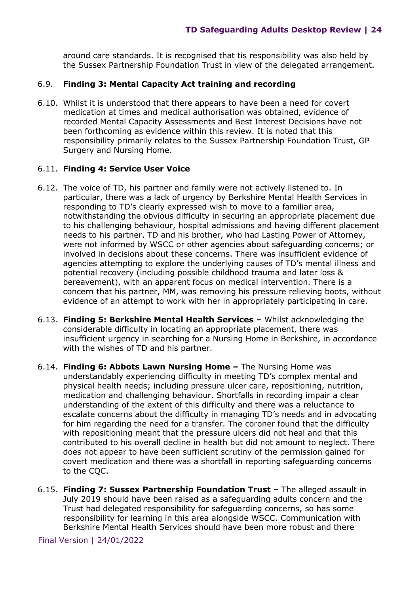around care standards. It is recognised that tis responsibility was also held by the Sussex Partnership Foundation Trust in view of the delegated arrangement.

## 6.9. **Finding 3: Mental Capacity Act training and recording**

6.10. Whilst it is understood that there appears to have been a need for covert medication at times and medical authorisation was obtained, evidence of recorded Mental Capacity Assessments and Best Interest Decisions have not been forthcoming as evidence within this review. It is noted that this responsibility primarily relates to the Sussex Partnership Foundation Trust, GP Surgery and Nursing Home.

## 6.11. **Finding 4: Service User Voice**

- 6.12. The voice of TD, his partner and family were not actively listened to. In particular, there was a lack of urgency by Berkshire Mental Health Services in responding to TD's clearly expressed wish to move to a familiar area, notwithstanding the obvious difficulty in securing an appropriate placement due to his challenging behaviour, hospital admissions and having different placement needs to his partner. TD and his brother, who had Lasting Power of Attorney, were not informed by WSCC or other agencies about safeguarding concerns; or involved in decisions about these concerns. There was insufficient evidence of agencies attempting to explore the underlying causes of TD's mental illness and potential recovery (including possible childhood trauma and later loss & bereavement), with an apparent focus on medical intervention. There is a concern that his partner, MM, was removing his pressure relieving boots, without evidence of an attempt to work with her in appropriately participating in care.
- 6.13. **Finding 5: Berkshire Mental Health Services –** Whilst acknowledging the considerable difficulty in locating an appropriate placement, there was insufficient urgency in searching for a Nursing Home in Berkshire, in accordance with the wishes of TD and his partner.
- 6.14. **Finding 6: Abbots Lawn Nursing Home –** The Nursing Home was understandably experiencing difficulty in meeting TD's complex mental and physical health needs; including pressure ulcer care, repositioning, nutrition, medication and challenging behaviour. Shortfalls in recording impair a clear understanding of the extent of this difficulty and there was a reluctance to escalate concerns about the difficulty in managing TD's needs and in advocating for him regarding the need for a transfer. The coroner found that the difficulty with repositioning meant that the pressure ulcers did not heal and that this contributed to his overall decline in health but did not amount to neglect. There does not appear to have been sufficient scrutiny of the permission gained for covert medication and there was a shortfall in reporting safeguarding concerns to the CQC.
- 6.15. **Finding 7: Sussex Partnership Foundation Trust –** The alleged assault in July 2019 should have been raised as a safeguarding adults concern and the Trust had delegated responsibility for safeguarding concerns, so has some responsibility for learning in this area alongside WSCC. Communication with Berkshire Mental Health Services should have been more robust and there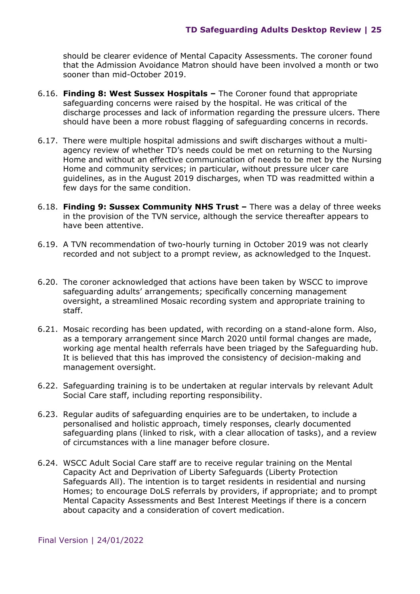should be clearer evidence of Mental Capacity Assessments. The coroner found that the Admission Avoidance Matron should have been involved a month or two sooner than mid-October 2019.

- 6.16. **Finding 8: West Sussex Hospitals** The Coroner found that appropriate safeguarding concerns were raised by the hospital. He was critical of the discharge processes and lack of information regarding the pressure ulcers. There should have been a more robust flagging of safeguarding concerns in records.
- 6.17. There were multiple hospital admissions and swift discharges without a multiagency review of whether TD's needs could be met on returning to the Nursing Home and without an effective communication of needs to be met by the Nursing Home and community services; in particular, without pressure ulcer care guidelines, as in the August 2019 discharges, when TD was readmitted within a few days for the same condition.
- 6.18. **Finding 9: Sussex Community NHS Trust** There was a delay of three weeks in the provision of the TVN service, although the service thereafter appears to have been attentive.
- 6.19. A TVN recommendation of two-hourly turning in October 2019 was not clearly recorded and not subject to a prompt review, as acknowledged to the Inquest.
- 6.20. The coroner acknowledged that actions have been taken by WSCC to improve safeguarding adults' arrangements; specifically concerning management oversight, a streamlined Mosaic recording system and appropriate training to staff.
- 6.21. Mosaic recording has been updated, with recording on a stand-alone form. Also, as a temporary arrangement since March 2020 until formal changes are made, working age mental health referrals have been triaged by the Safeguarding hub. It is believed that this has improved the consistency of decision-making and management oversight.
- 6.22. Safeguarding training is to be undertaken at regular intervals by relevant Adult Social Care staff, including reporting responsibility.
- 6.23. Regular audits of safeguarding enquiries are to be undertaken, to include a personalised and holistic approach, timely responses, clearly documented safeguarding plans (linked to risk, with a clear allocation of tasks), and a review of circumstances with a line manager before closure.
- 6.24. WSCC Adult Social Care staff are to receive regular training on the Mental Capacity Act and Deprivation of Liberty Safeguards (Liberty Protection Safeguards All). The intention is to target residents in residential and nursing Homes; to encourage DoLS referrals by providers, if appropriate; and to prompt Mental Capacity Assessments and Best Interest Meetings if there is a concern about capacity and a consideration of covert medication.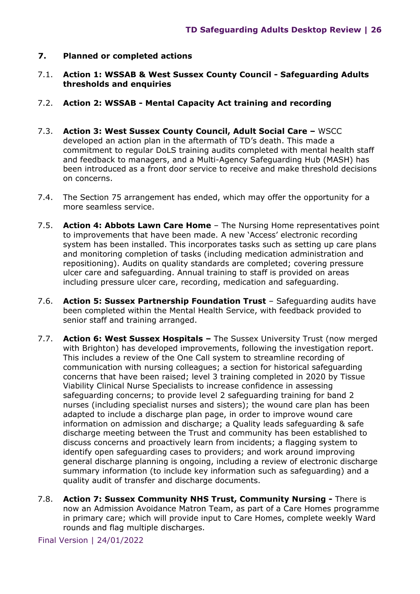#### **7. Planned or completed actions**

7.1. **Action 1: WSSAB & West Sussex County Council - Safeguarding Adults thresholds and enquiries** 

#### 7.2. **Action 2: WSSAB - Mental Capacity Act training and recording**

- 7.3. **Action 3: West Sussex County Council, Adult Social Care** WSCC developed an action plan in the aftermath of TD's death. This made a commitment to regular DoLS training audits completed with mental health staff and feedback to managers, and a Multi-Agency Safeguarding Hub (MASH) has been introduced as a front door service to receive and make threshold decisions on concerns.
- 7.4. The Section 75 arrangement has ended, which may offer the opportunity for a more seamless service.
- 7.5. **Action 4: Abbots Lawn Care Home** The Nursing Home representatives point to improvements that have been made. A new 'Access' electronic recording system has been installed. This incorporates tasks such as setting up care plans and monitoring completion of tasks (including medication administration and repositioning). Audits on quality standards are completed; covering pressure ulcer care and safeguarding. Annual training to staff is provided on areas including pressure ulcer care, recording, medication and safeguarding.
- 7.6. **Action 5: Sussex Partnership Foundation Trust** Safeguarding audits have been completed within the Mental Health Service, with feedback provided to senior staff and training arranged.
- 7.7. **Action 6: West Sussex Hospitals** The Sussex University Trust (now merged with Brighton) has developed improvements, following the investigation report. This includes a review of the One Call system to streamline recording of communication with nursing colleagues; a section for historical safeguarding concerns that have been raised; level 3 training completed in 2020 by Tissue Viability Clinical Nurse Specialists to increase confidence in assessing safeguarding concerns; to provide level 2 safeguarding training for band 2 nurses (including specialist nurses and sisters); the wound care plan has been adapted to include a discharge plan page, in order to improve wound care information on admission and discharge; a Quality leads safeguarding & safe discharge meeting between the Trust and community has been established to discuss concerns and proactively learn from incidents; a flagging system to identify open safeguarding cases to providers; and work around improving general discharge planning is ongoing, including a review of electronic discharge summary information (to include key information such as safeguarding) and a quality audit of transfer and discharge documents.
- 7.8. **Action 7: Sussex Community NHS Trust, Community Nursing** There is now an Admission Avoidance Matron Team, as part of a Care Homes programme in primary care; which will provide input to Care Homes, complete weekly Ward rounds and flag multiple discharges.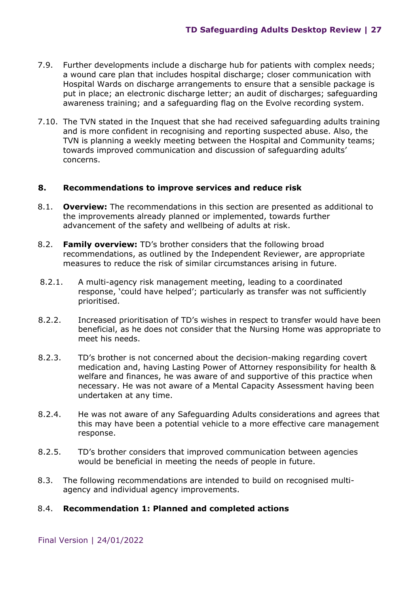- 7.9. Further developments include a discharge hub for patients with complex needs; a wound care plan that includes hospital discharge; closer communication with Hospital Wards on discharge arrangements to ensure that a sensible package is put in place; an electronic discharge letter; an audit of discharges; safeguarding awareness training; and a safeguarding flag on the Evolve recording system.
- 7.10. The TVN stated in the Inquest that she had received safeguarding adults training and is more confident in recognising and reporting suspected abuse. Also, the TVN is planning a weekly meeting between the Hospital and Community teams; towards improved communication and discussion of safeguarding adults' concerns.

#### **8. Recommendations to improve services and reduce risk**

- 8.1. **Overview:** The recommendations in this section are presented as additional to the improvements already planned or implemented, towards further advancement of the safety and wellbeing of adults at risk.
- 8.2. **Family overview:** TD's brother considers that the following broad recommendations, as outlined by the Independent Reviewer, are appropriate measures to reduce the risk of similar circumstances arising in future.
- 8.2.1. A multi-agency risk management meeting, leading to a coordinated response, 'could have helped'; particularly as transfer was not sufficiently prioritised.
- 8.2.2. Increased prioritisation of TD's wishes in respect to transfer would have been beneficial, as he does not consider that the Nursing Home was appropriate to meet his needs.
- 8.2.3. TD's brother is not concerned about the decision-making regarding covert medication and, having Lasting Power of Attorney responsibility for health & welfare and finances, he was aware of and supportive of this practice when necessary. He was not aware of a Mental Capacity Assessment having been undertaken at any time.
- 8.2.4. He was not aware of any Safeguarding Adults considerations and agrees that this may have been a potential vehicle to a more effective care management response.
- 8.2.5. TD's brother considers that improved communication between agencies would be beneficial in meeting the needs of people in future.
- 8.3. The following recommendations are intended to build on recognised multiagency and individual agency improvements.

#### 8.4. **Recommendation 1: Planned and completed actions**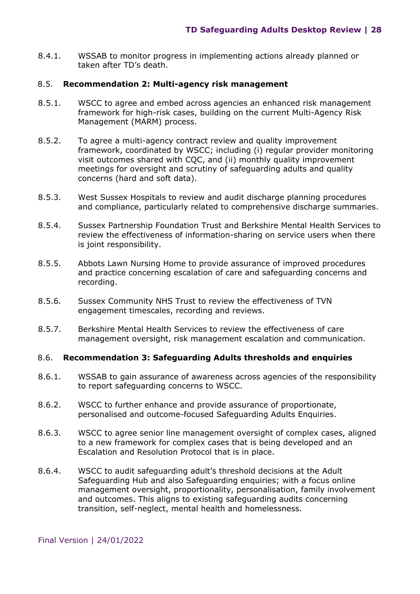8.4.1. WSSAB to monitor progress in implementing actions already planned or taken after TD's death.

#### 8.5. **Recommendation 2: Multi-agency risk management**

- 8.5.1. WSCC to agree and embed across agencies an enhanced risk management framework for high-risk cases, building on the current Multi-Agency Risk Management (MARM) process.
- 8.5.2. To agree a multi-agency contract review and quality improvement framework, coordinated by WSCC; including (i) regular provider monitoring visit outcomes shared with CQC, and (ii) monthly quality improvement meetings for oversight and scrutiny of safeguarding adults and quality concerns (hard and soft data).
- 8.5.3. West Sussex Hospitals to review and audit discharge planning procedures and compliance, particularly related to comprehensive discharge summaries.
- 8.5.4. Sussex Partnership Foundation Trust and Berkshire Mental Health Services to review the effectiveness of information-sharing on service users when there is joint responsibility.
- 8.5.5. Abbots Lawn Nursing Home to provide assurance of improved procedures and practice concerning escalation of care and safeguarding concerns and recording.
- 8.5.6. Sussex Community NHS Trust to review the effectiveness of TVN engagement timescales, recording and reviews.
- 8.5.7. Berkshire Mental Health Services to review the effectiveness of care management oversight, risk management escalation and communication.

#### 8.6. **Recommendation 3: Safeguarding Adults thresholds and enquiries**

- 8.6.1. WSSAB to gain assurance of awareness across agencies of the responsibility to report safeguarding concerns to WSCC.
- 8.6.2. WSCC to further enhance and provide assurance of proportionate, personalised and outcome-focused Safeguarding Adults Enquiries.
- 8.6.3. WSCC to agree senior line management oversight of complex cases, aligned to a new framework for complex cases that is being developed and an Escalation and Resolution Protocol that is in place.
- 8.6.4. WSCC to audit safeguarding adult's threshold decisions at the Adult Safeguarding Hub and also Safeguarding enquiries; with a focus online management oversight, proportionality, personalisation, family involvement and outcomes. This aligns to existing safeguarding audits concerning transition, self-neglect, mental health and homelessness.